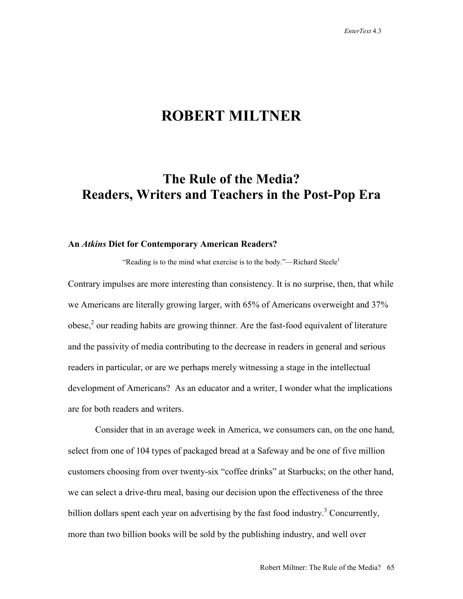# **ROBERT MILTNER**

# **The Rule of the Media? Readers, Writers and Teachers in the Post-Pop Era**

# **An** *Atkins* **Diet for Contemporary American Readers?**

"Reading is to the mind what exercise is to the body."—Richard Steele<sup>1</sup>

Contrary impulses are more interesting than consistency. It is no surprise, then, that while we Americans are literally growing larger, with 65% of Americans overweight and 37% obese, $<sup>2</sup>$  our reading habits are growing thinner. Are the fast-food equivalent of literature</sup> and the passivity of media contributing to the decrease in readers in general and serious readers in particular, or are we perhaps merely witnessing a stage in the intellectual development of Americans? As an educator and a writer, I wonder what the implications are for both readers and writers.

Consider that in an average week in America, we consumers can, on the one hand, select from one of 104 types of packaged bread at a Safeway and be one of five million customers choosing from over twenty-six "coffee drinks" at Starbucks; on the other hand, we can select a drive-thru meal, basing our decision upon the effectiveness of the three billion dollars spent each year on advertising by the fast food industry.<sup>3</sup> Concurrently, more than two billion books will be sold by the publishing industry, and well over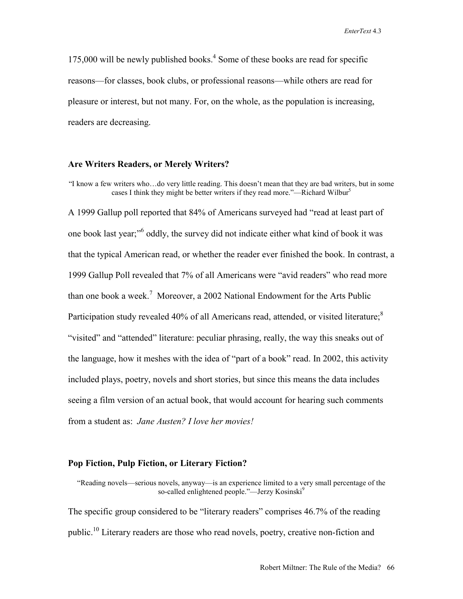175,000 will be newly published books.<sup>4</sup> Some of these books are read for specific reasons—for classes, book clubs, or professional reasons—while others are read for pleasure or interest, but not many. For, on the whole, as the population is increasing, readers are decreasing.

# **Are Writers Readers, or Merely Writers?**

"I know a few writers who…do very little reading. This doesn't mean that they are bad writers, but in some cases I think they might be better writers if they read more."—Richard Wilbur<sup>5</sup>

A 1999 Gallup poll reported that 84% of Americans surveyed had "read at least part of one book last year;"<sup>6</sup> oddly, the survey did not indicate either what kind of book it was that the typical American read, or whether the reader ever finished the book. In contrast, a 1999 Gallup Poll revealed that 7% of all Americans were "avid readers" who read more than one book a week.<sup>7</sup> Moreover, a 2002 National Endowment for the Arts Public Participation study revealed 40% of all Americans read, attended, or visited literature;<sup>8</sup> "visited" and "attended" literature: peculiar phrasing, really, the way this sneaks out of the language, how it meshes with the idea of "part of a book" read. In 2002, this activity included plays, poetry, novels and short stories, but since this means the data includes seeing a film version of an actual book, that would account for hearing such comments from a student as: *Jane Austen? I love her movies!*

#### **Pop Fiction, Pulp Fiction, or Literary Fiction?**

"Reading novels—serious novels, anyway—is an experience limited to a very small percentage of the so-called enlightened people."—Jerzy Kosinski<sup>9</sup>

The specific group considered to be "literary readers" comprises 46.7% of the reading public.10 Literary readers are those who read novels, poetry, creative non-fiction and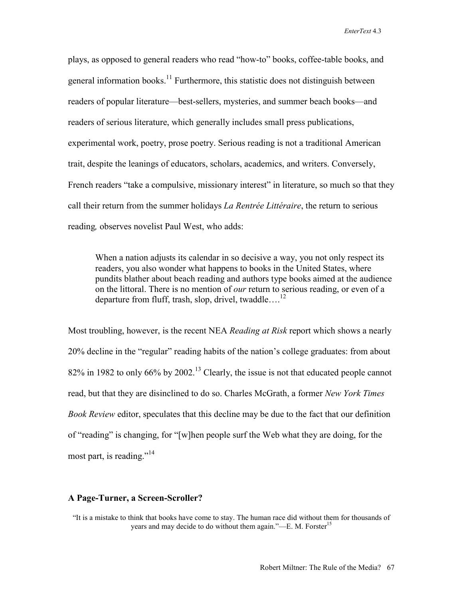plays, as opposed to general readers who read "how-to" books, coffee-table books, and general information books.<sup>11</sup> Furthermore, this statistic does not distinguish between readers of popular literature—best-sellers, mysteries, and summer beach books—and readers of serious literature, which generally includes small press publications, experimental work, poetry, prose poetry. Serious reading is not a traditional American trait, despite the leanings of educators, scholars, academics, and writers. Conversely, French readers "take a compulsive, missionary interest" in literature, so much so that they call their return from the summer holidays *La Rentrée Littéraire*, the return to serious reading*,* observes novelist Paul West, who adds:

When a nation adjusts its calendar in so decisive a way, you not only respect its readers, you also wonder what happens to books in the United States, where pundits blather about beach reading and authors type books aimed at the audience on the littoral. There is no mention of *our* return to serious reading, or even of a departure from fluff, trash, slop, drivel, twaddle... $^{12}$ 

Most troubling, however, is the recent NEA *Reading at Risk* report which shows a nearly 20% decline in the "regular" reading habits of the nation's college graduates: from about 82% in 1982 to only 66% by 2002.<sup>13</sup> Clearly, the issue is not that educated people cannot read, but that they are disinclined to do so. Charles McGrath, a former *New York Times Book Review* editor, speculates that this decline may be due to the fact that our definition of "reading" is changing, for "[w]hen people surf the Web what they are doing, for the most part, is reading."<sup>14</sup>

# **A Page-Turner, a Screen-Scroller?**

<sup>&</sup>quot;It is a mistake to think that books have come to stay. The human race did without them for thousands of years and may decide to do without them again."— $E$ . M. Forster<sup>15</sup>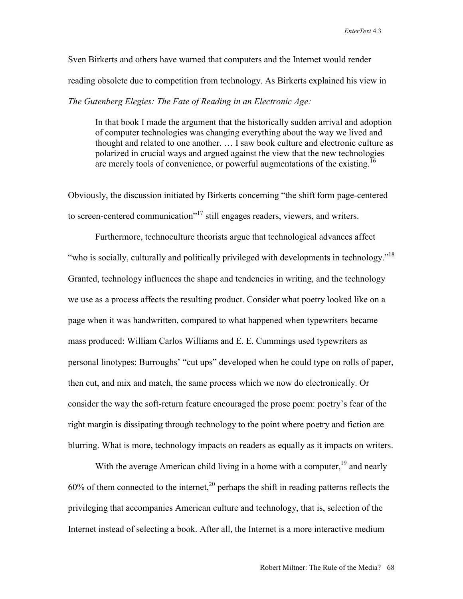Sven Birkerts and others have warned that computers and the Internet would render reading obsolete due to competition from technology. As Birkerts explained his view in *The Gutenberg Elegies: The Fate of Reading in an Electronic Age:* 

In that book I made the argument that the historically sudden arrival and adoption of computer technologies was changing everything about the way we lived and thought and related to one another. … I saw book culture and electronic culture as polarized in crucial ways and argued against the view that the new technologies are merely tools of convenience, or powerful augmentations of the existing.<sup>16</sup>

Obviously, the discussion initiated by Birkerts concerning "the shift form page-centered to screen-centered communication"<sup>17</sup> still engages readers, viewers, and writers.

Furthermore, technoculture theorists argue that technological advances affect "who is socially, culturally and politically privileged with developments in technology."<sup>18</sup> Granted, technology influences the shape and tendencies in writing, and the technology we use as a process affects the resulting product. Consider what poetry looked like on a page when it was handwritten, compared to what happened when typewriters became mass produced: William Carlos Williams and E. E. Cummings used typewriters as personal linotypes; Burroughs' "cut ups" developed when he could type on rolls of paper, then cut, and mix and match, the same process which we now do electronically. Or consider the way the soft-return feature encouraged the prose poem: poetry's fear of the right margin is dissipating through technology to the point where poetry and fiction are blurring. What is more, technology impacts on readers as equally as it impacts on writers.

With the average American child living in a home with a computer,  $19^{\circ}$  and nearly 60% of them connected to the internet,<sup>20</sup> perhaps the shift in reading patterns reflects the privileging that accompanies American culture and technology, that is, selection of the Internet instead of selecting a book. After all, the Internet is a more interactive medium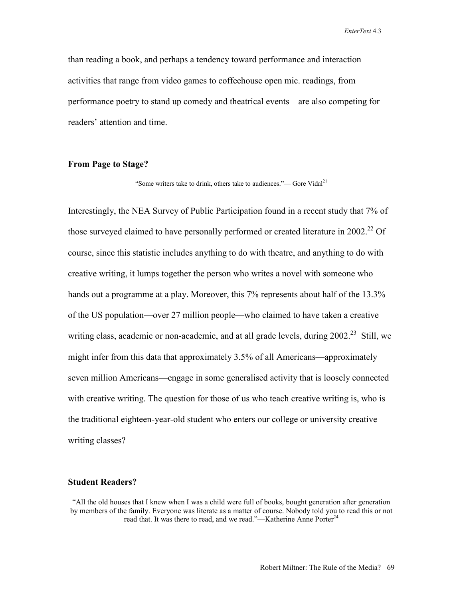than reading a book, and perhaps a tendency toward performance and interaction activities that range from video games to coffeehouse open mic. readings, from performance poetry to stand up comedy and theatrical events—are also competing for readers' attention and time.

# **From Page to Stage?**

"Some writers take to drink, others take to audiences."— Gore Vidal $^{21}$ 

Interestingly, the NEA Survey of Public Participation found in a recent study that 7% of those surveyed claimed to have personally performed or created literature in 2002.<sup>22</sup> Of course, since this statistic includes anything to do with theatre, and anything to do with creative writing, it lumps together the person who writes a novel with someone who hands out a programme at a play. Moreover, this 7% represents about half of the 13.3% of the US population—over 27 million people—who claimed to have taken a creative writing class, academic or non-academic, and at all grade levels, during 2002.<sup>23</sup> Still, we might infer from this data that approximately 3.5% of all Americans—approximately seven million Americans—engage in some generalised activity that is loosely connected with creative writing. The question for those of us who teach creative writing is, who is the traditional eighteen-year-old student who enters our college or university creative writing classes?

#### **Student Readers?**

"All the old houses that I knew when I was a child were full of books, bought generation after generation by members of the family. Everyone was literate as a matter of course. Nobody told you to read this or not read that. It was there to read, and we read."—Katherine Anne Porter<sup>24</sup>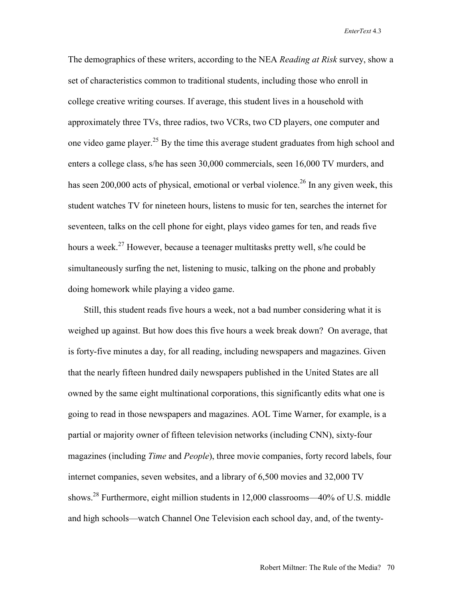The demographics of these writers, according to the NEA *Reading at Risk* survey, show a set of characteristics common to traditional students, including those who enroll in college creative writing courses. If average, this student lives in a household with approximately three TVs, three radios, two VCRs, two CD players, one computer and one video game player.<sup>25</sup> By the time this average student graduates from high school and enters a college class, s/he has seen 30,000 commercials, seen 16,000 TV murders, and has seen 200,000 acts of physical, emotional or verbal violence.<sup>26</sup> In any given week, this student watches TV for nineteen hours, listens to music for ten, searches the internet for seventeen, talks on the cell phone for eight, plays video games for ten, and reads five hours a week.<sup>27</sup> However, because a teenager multitasks pretty well, s/he could be simultaneously surfing the net, listening to music, talking on the phone and probably doing homework while playing a video game.

 Still, this student reads five hours a week, not a bad number considering what it is weighed up against. But how does this five hours a week break down? On average, that is forty-five minutes a day, for all reading, including newspapers and magazines. Given that the nearly fifteen hundred daily newspapers published in the United States are all owned by the same eight multinational corporations, this significantly edits what one is going to read in those newspapers and magazines. AOL Time Warner, for example, is a partial or majority owner of fifteen television networks (including CNN), sixty-four magazines (including *Time* and *People*), three movie companies, forty record labels, four internet companies, seven websites, and a library of 6,500 movies and 32,000 TV shows.28 Furthermore, eight million students in 12,000 classrooms—40% of U.S. middle and high schools—watch Channel One Television each school day, and, of the twenty-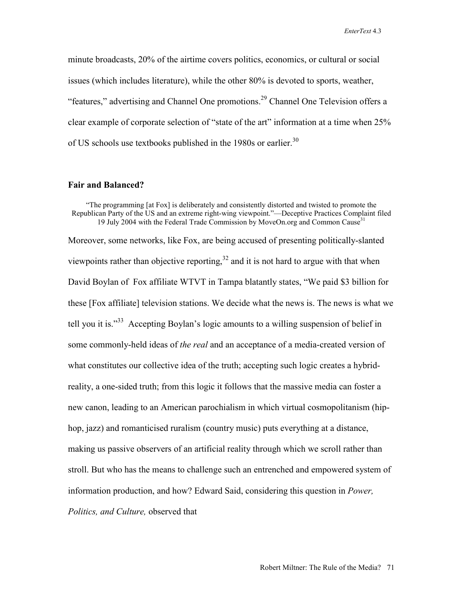minute broadcasts, 20% of the airtime covers politics, economics, or cultural or social issues (which includes literature), while the other 80% is devoted to sports, weather, "features," advertising and Channel One promotions.<sup>29</sup> Channel One Television offers a clear example of corporate selection of "state of the art" information at a time when 25% of US schools use textbooks published in the 1980s or earlier.<sup>30</sup>

"The programming [at Fox] is deliberately and consistently distorted and twisted to promote the

# **Fair and Balanced?**

Republican Party of the US and an extreme right-wing viewpoint."—Deceptive Practices Complaint filed 19 July 2004 with the Federal Trade Commission by MoveOn.org and Common Cause<sup>31</sup> Moreover, some networks, like Fox, are being accused of presenting politically-slanted viewpoints rather than objective reporting,  $32$  and it is not hard to argue with that when David Boylan of Fox affiliate WTVT in Tampa blatantly states, "We paid \$3 billion for these [Fox affiliate] television stations. We decide what the news is. The news is what we tell you it is."<sup>33</sup> Accepting Boylan's logic amounts to a willing suspension of belief in some commonly-held ideas of *the real* and an acceptance of a media-created version of what constitutes our collective idea of the truth; accepting such logic creates a hybridreality, a one-sided truth; from this logic it follows that the massive media can foster a new canon, leading to an American parochialism in which virtual cosmopolitanism (hiphop, jazz) and romanticised ruralism (country music) puts everything at a distance, making us passive observers of an artificial reality through which we scroll rather than stroll. But who has the means to challenge such an entrenched and empowered system of information production, and how? Edward Said, considering this question in *Power, Politics, and Culture,* observed that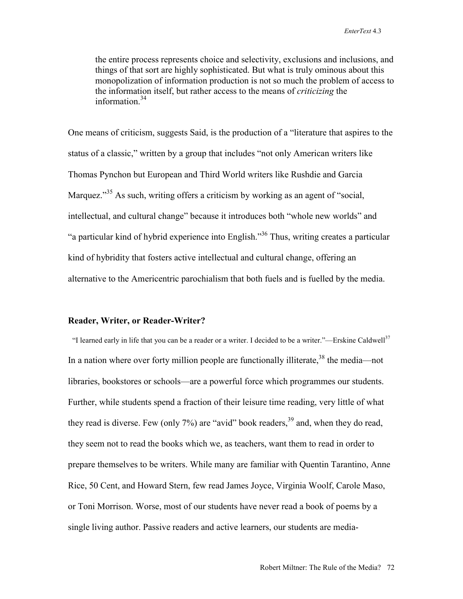the entire process represents choice and selectivity, exclusions and inclusions, and things of that sort are highly sophisticated. But what is truly ominous about this monopolization of information production is not so much the problem of access to the information itself, but rather access to the means of *criticizing* the information  $34$ 

One means of criticism, suggests Said, is the production of a "literature that aspires to the status of a classic," written by a group that includes "not only American writers like Thomas Pynchon but European and Third World writers like Rushdie and Garcia Marquez."<sup>35</sup> As such, writing offers a criticism by working as an agent of "social, intellectual, and cultural change" because it introduces both "whole new worlds" and "a particular kind of hybrid experience into English."36 Thus, writing creates a particular kind of hybridity that fosters active intellectual and cultural change, offering an alternative to the Americentric parochialism that both fuels and is fuelled by the media.

# **Reader, Writer, or Reader-Writer?**

"I learned early in life that you can be a reader or a writer. I decided to be a writer."—Erskine Caldwell<sup>37</sup> In a nation where over forty million people are functionally illiterate,  $38$  the media—not libraries, bookstores or schools—are a powerful force which programmes our students. Further, while students spend a fraction of their leisure time reading, very little of what they read is diverse. Few (only  $7\%$ ) are "avid" book readers,  $39$  and, when they do read, they seem not to read the books which we, as teachers, want them to read in order to prepare themselves to be writers. While many are familiar with Quentin Tarantino, Anne Rice, 50 Cent, and Howard Stern, few read James Joyce, Virginia Woolf, Carole Maso, or Toni Morrison. Worse, most of our students have never read a book of poems by a single living author. Passive readers and active learners, our students are media-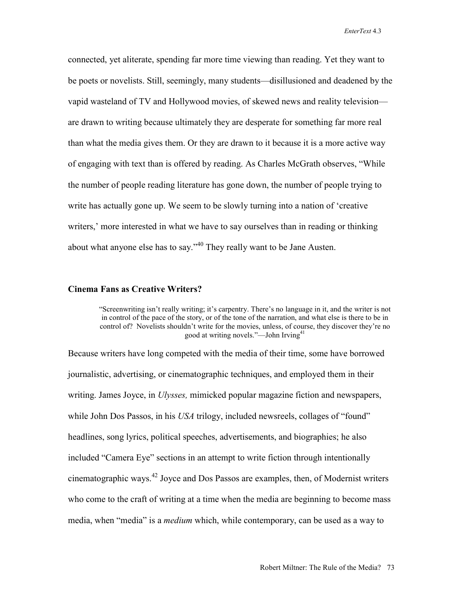connected, yet aliterate, spending far more time viewing than reading. Yet they want to be poets or novelists. Still, seemingly, many students—disillusioned and deadened by the vapid wasteland of TV and Hollywood movies, of skewed news and reality television are drawn to writing because ultimately they are desperate for something far more real than what the media gives them. Or they are drawn to it because it is a more active way of engaging with text than is offered by reading. As Charles McGrath observes, "While the number of people reading literature has gone down, the number of people trying to write has actually gone up. We seem to be slowly turning into a nation of 'creative writers,' more interested in what we have to say ourselves than in reading or thinking about what anyone else has to say."<sup>40</sup> They really want to be Jane Austen.

#### **Cinema Fans as Creative Writers?**

"Screenwriting isn't really writing; it's carpentry. There's no language in it, and the writer is not in control of the pace of the story, or of the tone of the narration, and what else is there to be in control of? Novelists shouldn't write for the movies, unless, of course, they discover they're no good at writing novels."—John Irving<sup>41</sup>

Because writers have long competed with the media of their time, some have borrowed journalistic, advertising, or cinematographic techniques, and employed them in their writing. James Joyce, in *Ulysses,* mimicked popular magazine fiction and newspapers, while John Dos Passos, in his *USA* trilogy, included newsreels, collages of "found" headlines, song lyrics, political speeches, advertisements, and biographies; he also included "Camera Eye" sections in an attempt to write fiction through intentionally cinematographic ways.<sup>42</sup> Joyce and Dos Passos are examples, then, of Modernist writers who come to the craft of writing at a time when the media are beginning to become mass media, when "media" is a *medium* which, while contemporary, can be used as a way to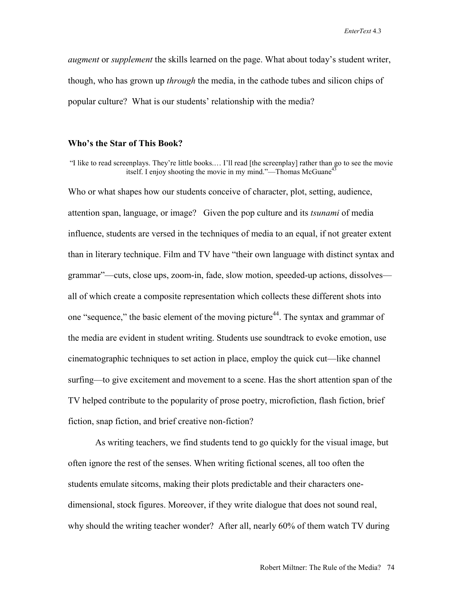*augment* or *supplement* the skills learned on the page. What about today's student writer, though, who has grown up *through* the media, in the cathode tubes and silicon chips of popular culture? What is our students' relationship with the media?

#### **Who's the Star of This Book?**

"I like to read screenplays. They're little books.… I'll read [the screenplay] rather than go to see the movie itself. I enjoy shooting the movie in my mind."—Thomas McGuane<sup>4</sup>

Who or what shapes how our students conceive of character, plot, setting, audience, attention span, language, or image? Given the pop culture and its *tsunami* of media influence, students are versed in the techniques of media to an equal, if not greater extent than in literary technique. Film and TV have "their own language with distinct syntax and grammar"—cuts, close ups, zoom-in, fade, slow motion, speeded-up actions, dissolves all of which create a composite representation which collects these different shots into one "sequence," the basic element of the moving picture<sup>44</sup>. The syntax and grammar of the media are evident in student writing. Students use soundtrack to evoke emotion, use cinematographic techniques to set action in place, employ the quick cut—like channel surfing—to give excitement and movement to a scene. Has the short attention span of the TV helped contribute to the popularity of prose poetry, microfiction, flash fiction, brief fiction, snap fiction, and brief creative non-fiction?

As writing teachers, we find students tend to go quickly for the visual image, but often ignore the rest of the senses. When writing fictional scenes, all too often the students emulate sitcoms, making their plots predictable and their characters onedimensional, stock figures. Moreover, if they write dialogue that does not sound real, why should the writing teacher wonder? After all, nearly 60% of them watch TV during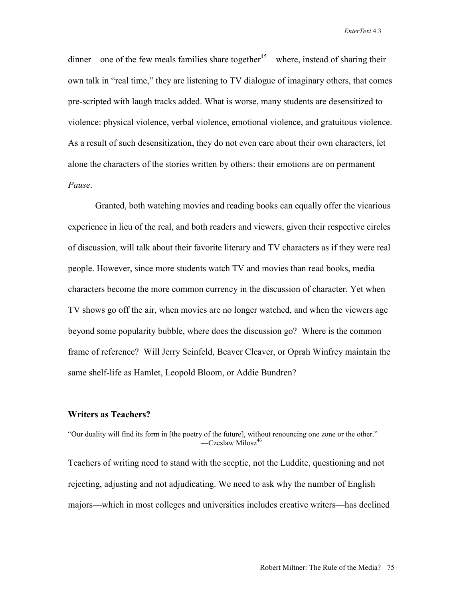$d$ inner—one of the few meals families share together<sup>45</sup>—where, instead of sharing their own talk in "real time," they are listening to TV dialogue of imaginary others, that comes pre-scripted with laugh tracks added. What is worse, many students are desensitized to violence: physical violence, verbal violence, emotional violence, and gratuitous violence. As a result of such desensitization, they do not even care about their own characters, let alone the characters of the stories written by others: their emotions are on permanent *Pause*.

 Granted, both watching movies and reading books can equally offer the vicarious experience in lieu of the real, and both readers and viewers, given their respective circles of discussion, will talk about their favorite literary and TV characters as if they were real people. However, since more students watch TV and movies than read books, media characters become the more common currency in the discussion of character. Yet when TV shows go off the air, when movies are no longer watched, and when the viewers age beyond some popularity bubble, where does the discussion go? Where is the common frame of reference? Will Jerry Seinfeld, Beaver Cleaver, or Oprah Winfrey maintain the same shelf-life as Hamlet, Leopold Bloom, or Addie Bundren?

# **Writers as Teachers?**

"Our duality will find its form in [the poetry of the future], without renouncing one zone or the other."  $-Cz$ eslaw Milosz<sup>46</sup>

Teachers of writing need to stand with the sceptic, not the Luddite, questioning and not rejecting, adjusting and not adjudicating. We need to ask why the number of English majors—which in most colleges and universities includes creative writers—has declined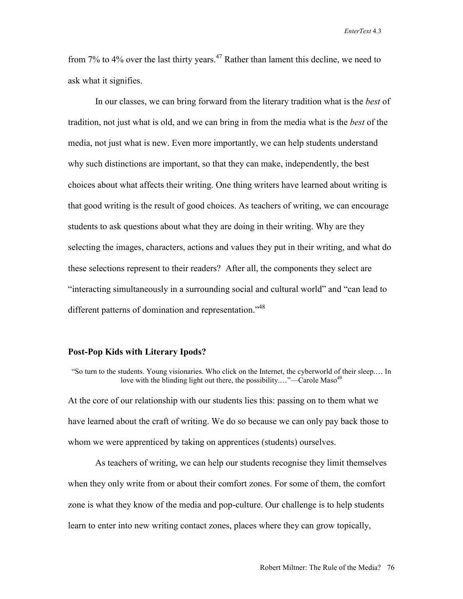from 7% to 4% over the last thirty years.<sup>47</sup> Rather than lament this decline, we need to ask what it signifies.

In our classes, we can bring forward from the literary tradition what is the *best* of tradition, not just what is old, and we can bring in from the media what is the *best* of the media, not just what is new. Even more importantly, we can help students understand why such distinctions are important, so that they can make, independently, the best choices about what affects their writing. One thing writers have learned about writing is that good writing is the result of good choices. As teachers of writing, we can encourage students to ask questions about what they are doing in their writing. Why are they selecting the images, characters, actions and values they put in their writing, and what do these selections represent to their readers? After all, the components they select are "interacting simultaneously in a surrounding social and cultural world" and "can lead to different patterns of domination and representation."<sup>48</sup>

# **Post-Pop Kids with Literary Ipods?**

"So turn to the students. Young visionaries. Who click on the Internet, the cyberworld of their sleep.… In love with the blinding light out there, the possibility...."—Carole Maso<sup>49</sup>

At the core of our relationship with our students lies this: passing on to them what we have learned about the craft of writing. We do so because we can only pay back those to whom we were apprenticed by taking on apprentices (students) ourselves.

As teachers of writing, we can help our students recognise they limit themselves when they only write from or about their comfort zones. For some of them, the comfort zone is what they know of the media and pop-culture. Our challenge is to help students learn to enter into new writing contact zones, places where they can grow topically,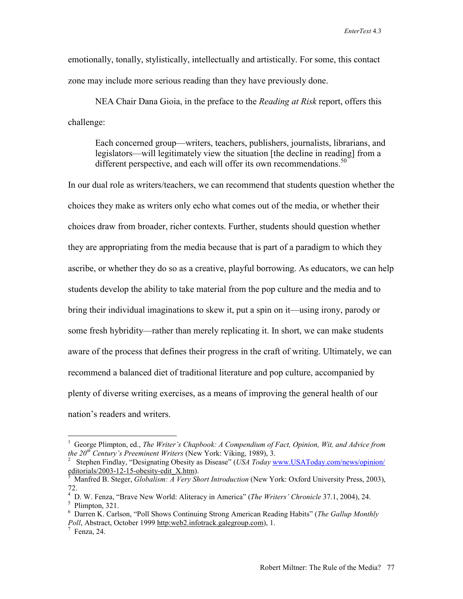emotionally, tonally, stylistically, intellectually and artistically. For some, this contact zone may include more serious reading than they have previously done.

NEA Chair Dana Gioia, in the preface to the *Reading at Risk* report, offers this challenge:

Each concerned group—writers, teachers, publishers, journalists, librarians, and legislators—will legitimately view the situation [the decline in reading] from a different perspective, and each will offer its own recommendations.<sup>50</sup>

In our dual role as writers/teachers, we can recommend that students question whether the choices they make as writers only echo what comes out of the media, or whether their choices draw from broader, richer contexts. Further, students should question whether they are appropriating from the media because that is part of a paradigm to which they ascribe, or whether they do so as a creative, playful borrowing. As educators, we can help students develop the ability to take material from the pop culture and the media and to bring their individual imaginations to skew it, put a spin on it—using irony, parody or some fresh hybridity—rather than merely replicating it. In short, we can make students aware of the process that defines their progress in the craft of writing. Ultimately, we can recommend a balanced diet of traditional literature and pop culture, accompanied by plenty of diverse writing exercises, as a means of improving the general health of our nation's readers and writers.

 Stephen Findlay, "Designating Obesity as Disease" (*USA Today* www.USAToday.com/news/opinion/ editorials/2003-12-15-obesity-edit\_X.htm).

 $\overline{a}$ 

<sup>1</sup> George Plimpton, ed., *The Writer's Chapbook: A Compendium of Fact, Opinion, Wit, and Advice from the 20<sup>th</sup> Century's Preeminent Writers* (New York: Viking, 1989), 3.

Manfred B. Steger, *Globalism: A Very Short Introduction* (New York: Oxford University Press, 2003), 72.

<sup>&</sup>lt;sup>4</sup> D. W. Fenza, "Brave New World: Aliteracy in America" (*The Writers' Chronicle* 37.1, 2004), 24.

 $<sup>5</sup>$  Plimpton, 321.</sup>

<sup>6</sup> Darren K. Carlson, "Poll Shows Continuing Strong American Reading Habits" (*The Gallup Monthly Poll*, Abstract, October 1999 <u>http:web2.infotrack.galegroup.com</u>), 1. *T* Fenza, 24.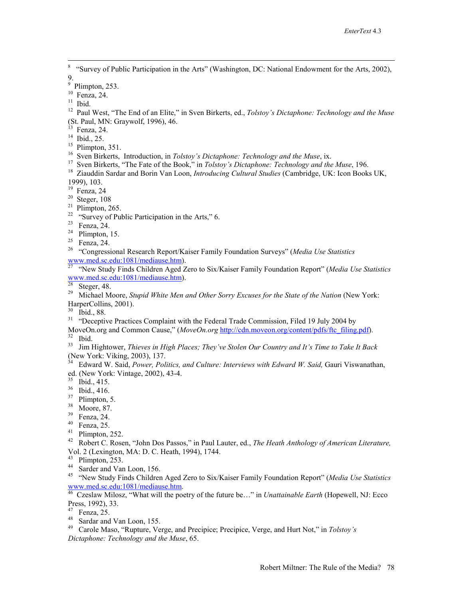8 <sup>8</sup> "Survey of Public Participation in the Arts" (Washington, DC: National Endowment for the Arts, 2002), 9.

 $9$  Plimpton, 253.

10 Fenza, 24.

 $11$  Ibid.

12 Paul West, "The End of an Elite," in Sven Birkerts, ed., *Tolstoy's Dictaphone: Technology and the Muse*  (St. Paul, MN: Graywolf, 1996), 46.

 $13$  Fenza, 24.

14 Ibid., 25.

<sup>15</sup> Plimpton, 351.<br><sup>16</sup> Sven Birkerts, Introduction, in *Tolstoy's Dictaphone: Technology and the Muse*, ix.

<sup>17</sup> Sven Birkerts, "The Fate of the Book," in *Tolstoy's Dictaphone: Technology and the Muse*, 196.<br><sup>18</sup> Ziauddin Sardar and Borin Van Loon, *Introducing Cultural Studies* (Cambridge, UK: Icon Books UK,

1999), 103.

 $19$  Fenza, 24

 $20$  Steger, 108

 $21$  Plimpton, 265.

 $22$  "Survey of Public Participation in the Arts," 6.

23 Fenza, 24.

 $24$  Plimpton, 15.

25 Fenza, 24.

26 "Congressional Research Report/Kaiser Family Foundation Surveys" (*Media Use Statistics* www.med.sc.edu:1081/mediause.htm). 27 "New Study Finds Children Aged Zero to Six/Kaiser Family Foundation Report" (*Media Use Statistics* 

www.med.sc.edu:1081/mediause.htm).<br> $28$  Steger, 48.

<sup>29</sup> Michael Moore, *Stupid White Men and Other Sorry Excuses for the State of the Nation* (New York: HarperCollins, 2001).

30 Ibid., 88.

 $31$  "Deceptive Practices Complaint with the Federal Trade Commission, Filed 19 July 2004 by MoveOn.org and Common Cause," (*MoveOn.org* http://cdn.moveon.org/content/pdfs/ftc\_filing.pdf).<br><sup>32</sup> Ibid

33 Jim Hightower, *Thieves in High Places; They've Stolen Our Country and It's Time to Take It Back* (New York: Viking, 2003), 137.<br>  $^{34}$  Edward W. 2003), 137.

34 Edward W. Said, *Power, Politics, and Culture: Interviews with Edward W. Said,* Gauri Viswanathan, ed. (New York: Vintage, 2002), 43-4.

Ibid., 415.

36 Ibid., 416.

- <sup>37</sup> Plimpton, 5.
- 38 Moore, 87.

39 Fenza, 24.

40 Fenza, 25.

41 Plimpton, 252.

42 Robert C. Rosen, "John Dos Passos," in Paul Lauter, ed., *The Heath Anthology of American Literature,* Vol. 2 (Lexington, MA: D. C. Heath, 1994), 1744.

43 Plimpton, 253.

44 Sarder and Van Loon, 156.

45 "New Study Finds Children Aged Zero to Six/Kaiser Family Foundation Report" (*Media Use Statistics* 

<sup>46</sup> Czeslaw Milosz, "What will the poetry of the future be…" in *Unattainable Earth* (Hopewell, NJ: Ecco Press, 1992), 33.

 $47$  Fenza, 25.

48 Sardar and Van Loon, 155.

49 Carole Maso, "Rupture, Verge, and Precipice; Precipice, Verge, and Hurt Not," in *Tolstoy's Dictaphone: Technology and the Muse*, 65.